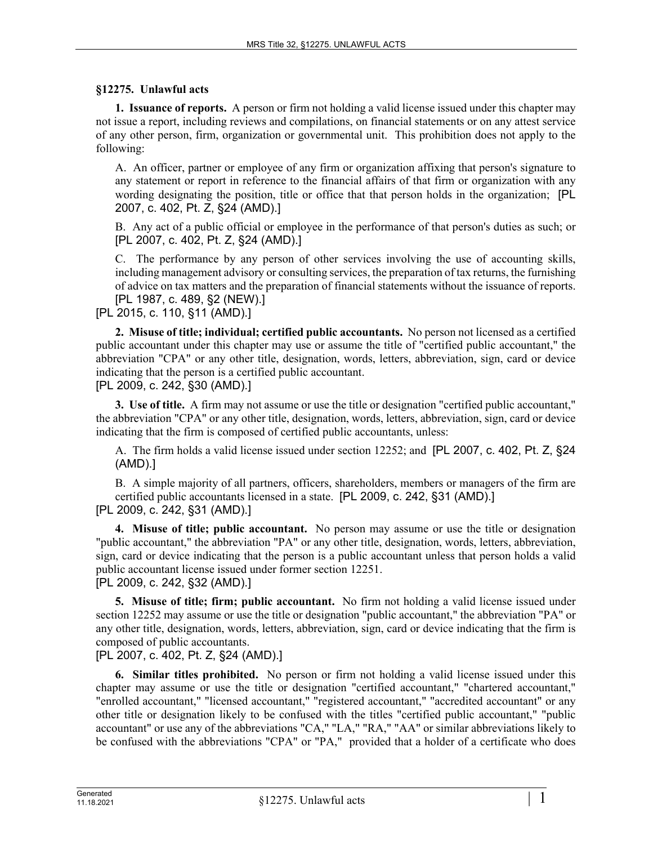### **§12275. Unlawful acts**

**1. Issuance of reports.** A person or firm not holding a valid license issued under this chapter may not issue a report, including reviews and compilations, on financial statements or on any attest service of any other person, firm, organization or governmental unit. This prohibition does not apply to the following:

A. An officer, partner or employee of any firm or organization affixing that person's signature to any statement or report in reference to the financial affairs of that firm or organization with any wording designating the position, title or office that that person holds in the organization; [PL 2007, c. 402, Pt. Z, §24 (AMD).]

B. Any act of a public official or employee in the performance of that person's duties as such; or [PL 2007, c. 402, Pt. Z, §24 (AMD).]

C. The performance by any person of other services involving the use of accounting skills, including management advisory or consulting services, the preparation of tax returns, the furnishing of advice on tax matters and the preparation of financial statements without the issuance of reports. [PL 1987, c. 489, §2 (NEW).]

## [PL 2015, c. 110, §11 (AMD).]

**2. Misuse of title; individual; certified public accountants.** No person not licensed as a certified public accountant under this chapter may use or assume the title of "certified public accountant," the abbreviation "CPA" or any other title, designation, words, letters, abbreviation, sign, card or device indicating that the person is a certified public accountant.

[PL 2009, c. 242, §30 (AMD).]

**3. Use of title.** A firm may not assume or use the title or designation "certified public accountant," the abbreviation "CPA" or any other title, designation, words, letters, abbreviation, sign, card or device indicating that the firm is composed of certified public accountants, unless:

A. The firm holds a valid license issued under section 12252; and [PL 2007, c. 402, Pt. Z, §24 (AMD).]

B. A simple majority of all partners, officers, shareholders, members or managers of the firm are certified public accountants licensed in a state. [PL 2009, c. 242, §31 (AMD).]

#### [PL 2009, c. 242, §31 (AMD).]

**4. Misuse of title; public accountant.** No person may assume or use the title or designation "public accountant," the abbreviation "PA" or any other title, designation, words, letters, abbreviation, sign, card or device indicating that the person is a public accountant unless that person holds a valid public accountant license issued under former section 12251.

[PL 2009, c. 242, §32 (AMD).]

**5. Misuse of title; firm; public accountant.** No firm not holding a valid license issued under section 12252 may assume or use the title or designation "public accountant," the abbreviation "PA" or any other title, designation, words, letters, abbreviation, sign, card or device indicating that the firm is composed of public accountants.

[PL 2007, c. 402, Pt. Z, §24 (AMD).]

**6. Similar titles prohibited.** No person or firm not holding a valid license issued under this chapter may assume or use the title or designation "certified accountant," "chartered accountant," "enrolled accountant," "licensed accountant," "registered accountant," "accredited accountant" or any other title or designation likely to be confused with the titles "certified public accountant," "public accountant" or use any of the abbreviations "CA," "LA," "RA," "AA" or similar abbreviations likely to be confused with the abbreviations "CPA" or "PA," provided that a holder of a certificate who does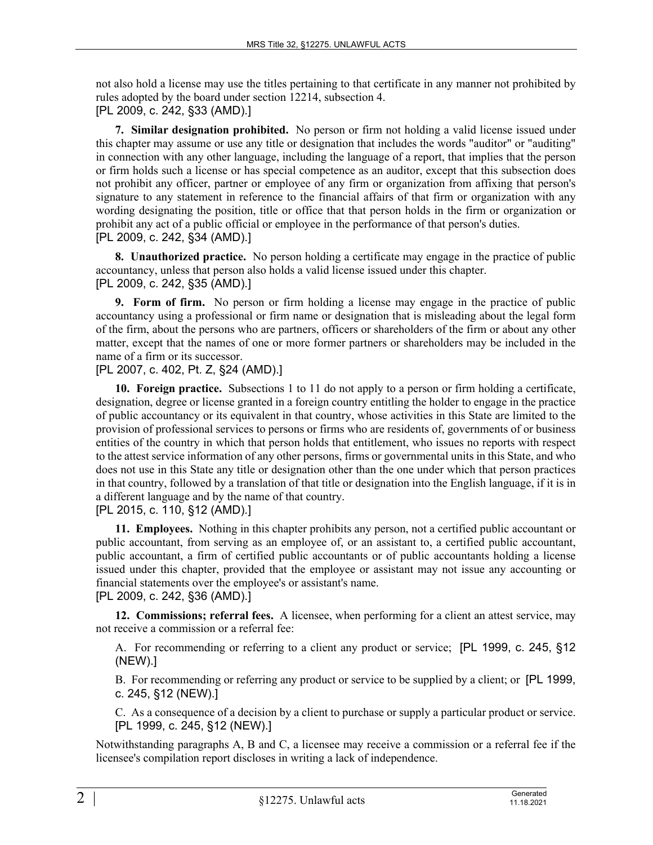not also hold a license may use the titles pertaining to that certificate in any manner not prohibited by rules adopted by the board under section 12214, subsection 4. [PL 2009, c. 242, §33 (AMD).]

**7. Similar designation prohibited.** No person or firm not holding a valid license issued under this chapter may assume or use any title or designation that includes the words "auditor" or "auditing" in connection with any other language, including the language of a report, that implies that the person or firm holds such a license or has special competence as an auditor, except that this subsection does not prohibit any officer, partner or employee of any firm or organization from affixing that person's signature to any statement in reference to the financial affairs of that firm or organization with any wording designating the position, title or office that that person holds in the firm or organization or prohibit any act of a public official or employee in the performance of that person's duties. [PL 2009, c. 242, §34 (AMD).]

**8. Unauthorized practice.** No person holding a certificate may engage in the practice of public accountancy, unless that person also holds a valid license issued under this chapter. [PL 2009, c. 242, §35 (AMD).]

**9. Form of firm.** No person or firm holding a license may engage in the practice of public accountancy using a professional or firm name or designation that is misleading about the legal form of the firm, about the persons who are partners, officers or shareholders of the firm or about any other matter, except that the names of one or more former partners or shareholders may be included in the name of a firm or its successor.

[PL 2007, c. 402, Pt. Z, §24 (AMD).]

**10. Foreign practice.** Subsections 1 to 11 do not apply to a person or firm holding a certificate, designation, degree or license granted in a foreign country entitling the holder to engage in the practice of public accountancy or its equivalent in that country, whose activities in this State are limited to the provision of professional services to persons or firms who are residents of, governments of or business entities of the country in which that person holds that entitlement, who issues no reports with respect to the attest service information of any other persons, firms or governmental units in this State, and who does not use in this State any title or designation other than the one under which that person practices in that country, followed by a translation of that title or designation into the English language, if it is in a different language and by the name of that country.

[PL 2015, c. 110, §12 (AMD).]

**11. Employees.** Nothing in this chapter prohibits any person, not a certified public accountant or public accountant, from serving as an employee of, or an assistant to, a certified public accountant, public accountant, a firm of certified public accountants or of public accountants holding a license issued under this chapter, provided that the employee or assistant may not issue any accounting or financial statements over the employee's or assistant's name.

# [PL 2009, c. 242, §36 (AMD).]

**12. Commissions; referral fees.** A licensee, when performing for a client an attest service, may not receive a commission or a referral fee:

A. For recommending or referring to a client any product or service; [PL 1999, c. 245, §12 (NEW).]

B. For recommending or referring any product or service to be supplied by a client; or [PL 1999, c. 245, §12 (NEW).]

C. As a consequence of a decision by a client to purchase or supply a particular product or service. [PL 1999, c. 245, §12 (NEW).]

Notwithstanding paragraphs A, B and C, a licensee may receive a commission or a referral fee if the licensee's compilation report discloses in writing a lack of independence.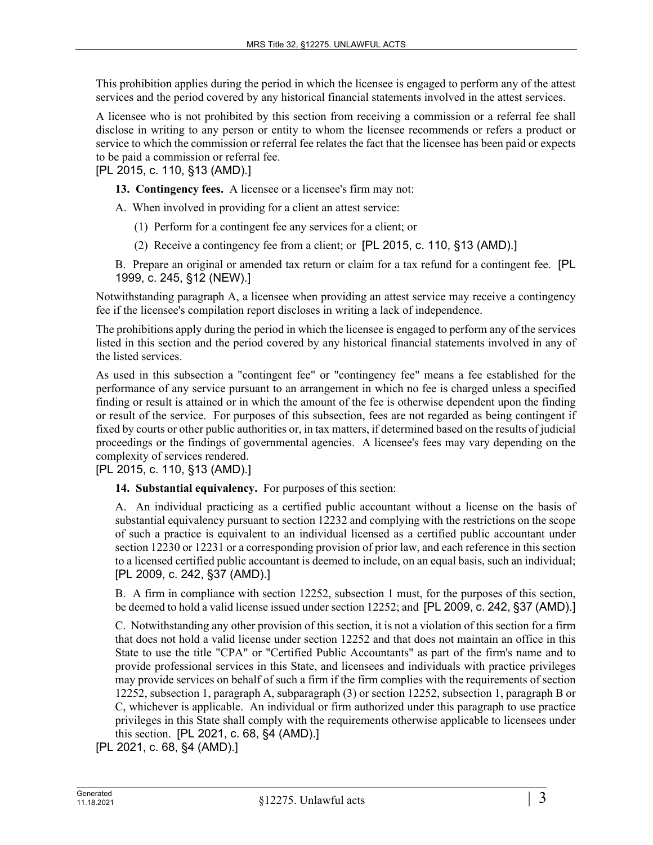This prohibition applies during the period in which the licensee is engaged to perform any of the attest services and the period covered by any historical financial statements involved in the attest services.

A licensee who is not prohibited by this section from receiving a commission or a referral fee shall disclose in writing to any person or entity to whom the licensee recommends or refers a product or service to which the commission or referral fee relates the fact that the licensee has been paid or expects to be paid a commission or referral fee.

[PL 2015, c. 110, §13 (AMD).]

**13. Contingency fees.** A licensee or a licensee's firm may not:

A. When involved in providing for a client an attest service:

(1) Perform for a contingent fee any services for a client; or

(2) Receive a contingency fee from a client; or [PL 2015, c. 110, §13 (AMD).]

B. Prepare an original or amended tax return or claim for a tax refund for a contingent fee. [PL 1999, c. 245, §12 (NEW).]

Notwithstanding paragraph A, a licensee when providing an attest service may receive a contingency fee if the licensee's compilation report discloses in writing a lack of independence.

The prohibitions apply during the period in which the licensee is engaged to perform any of the services listed in this section and the period covered by any historical financial statements involved in any of the listed services.

As used in this subsection a "contingent fee" or "contingency fee" means a fee established for the performance of any service pursuant to an arrangement in which no fee is charged unless a specified finding or result is attained or in which the amount of the fee is otherwise dependent upon the finding or result of the service. For purposes of this subsection, fees are not regarded as being contingent if fixed by courts or other public authorities or, in tax matters, if determined based on the results of judicial proceedings or the findings of governmental agencies. A licensee's fees may vary depending on the complexity of services rendered.

[PL 2015, c. 110, §13 (AMD).]

**14. Substantial equivalency.** For purposes of this section:

A. An individual practicing as a certified public accountant without a license on the basis of substantial equivalency pursuant to section 12232 and complying with the restrictions on the scope of such a practice is equivalent to an individual licensed as a certified public accountant under section 12230 or 12231 or a corresponding provision of prior law, and each reference in this section to a licensed certified public accountant is deemed to include, on an equal basis, such an individual; [PL 2009, c. 242, §37 (AMD).]

B. A firm in compliance with section 12252, subsection 1 must, for the purposes of this section, be deemed to hold a valid license issued under section 12252; and [PL 2009, c. 242, §37 (AMD).]

C. Notwithstanding any other provision of this section, it is not a violation of this section for a firm that does not hold a valid license under section 12252 and that does not maintain an office in this State to use the title "CPA" or "Certified Public Accountants" as part of the firm's name and to provide professional services in this State, and licensees and individuals with practice privileges may provide services on behalf of such a firm if the firm complies with the requirements of section 12252, subsection 1, paragraph A, subparagraph (3) or section 12252, subsection 1, paragraph B or C, whichever is applicable. An individual or firm authorized under this paragraph to use practice privileges in this State shall comply with the requirements otherwise applicable to licensees under this section. [PL 2021, c. 68, §4 (AMD).]

[PL 2021, c. 68, §4 (AMD).]